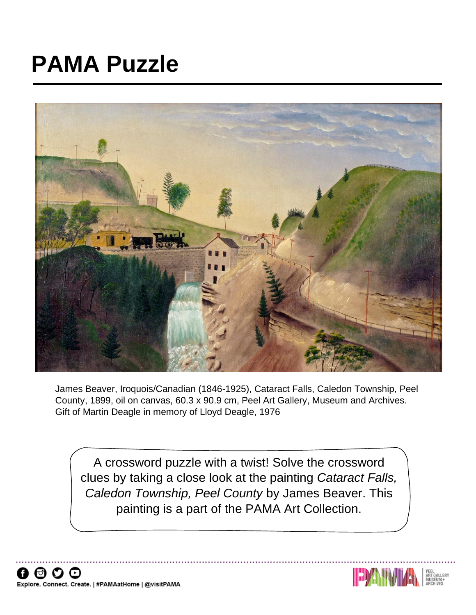## **PAMA Puzzle**



James Beaver, Iroquois/Canadian (1846-1925), Cataract Falls, Caledon Township, Peel County, 1899, oil on canvas, 60.3 x 90.9 cm, Peel Art Gallery, Museum and Archives. Gift of Martin Deagle in memory of Lloyd Deagle, 1976

A crossword puzzle with a twist! Solve the crossword clues by taking a close look at the painting *Cataract Falls, Caledon Township, Peel County* by James Beaver. This painting is a part of the PAMA Art Collection.



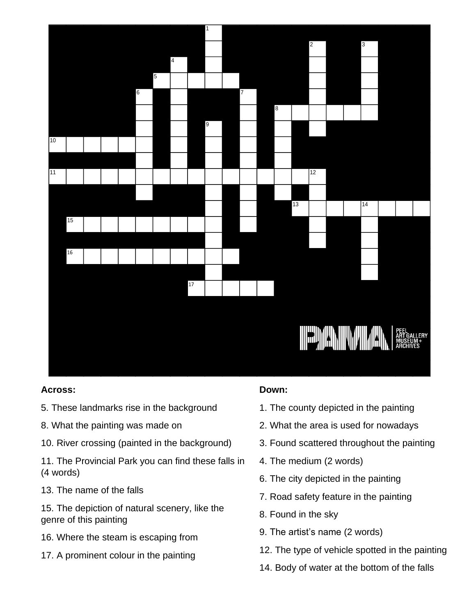

## **Across:**

- 5. These landmarks rise in the background
- 8. What the painting was made on
- 10. River crossing (painted in the background)
- 11. The Provincial Park you can find these falls in (4 words)
- 13. The name of the falls
- 15. The depiction of natural scenery, like the genre of this painting
- 16. Where the steam is escaping from
- 

## **Down:**

- 1. The county depicted in the painting
- 2. What the area is used for nowadays
- 3. Found scattered throughout the painting
- 4. The medium (2 words)
- 6. The city depicted in the painting
- 7. Road safety feature in the painting
- 8. Found in the sky
- 9. The artist's name (2 words)
- 12. The type of vehicle spotted in the painting
- 14. Body of water at the bottom of the falls